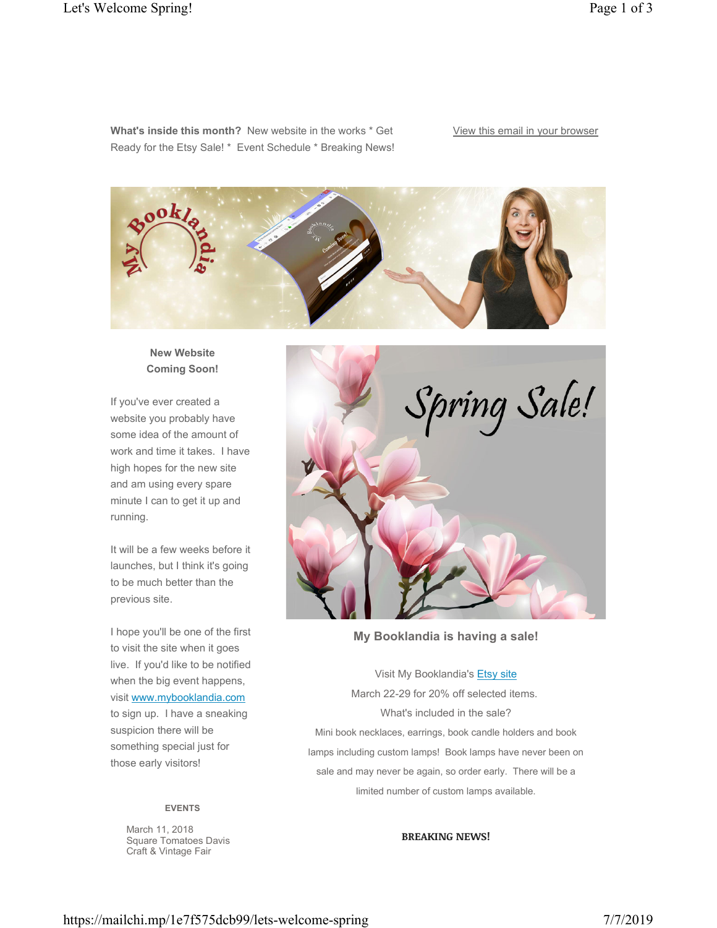**What's inside this month?** New website in the works \* Get Ready for the Etsy Sale! \* Event Schedule \* Breaking News! View this email in your browser



## **New Website Coming Soon!**

If you've ever created a website you probably have some idea of the amount of work and time it takes. I have high hopes for the new site and am using every spare minute I can to get it up and running.

It will be a few weeks before it launches, but I think it's going to be much better than the previous site.

I hope you'll be one of the first to visit the site when it goes live. If you'd like to be notified when the big event happens, visit www.mybooklandia.com to sign up. I have a sneaking suspicion there will be something special just for those early visitors!

### **EVENTS**

March 11, 2018 Square Tomatoes Davis Craft & Vintage Fair



**My Booklandia is having a sale!**

Visit My Booklandia's Etsy site March 22-29 for 20% off selected items. What's included in the sale? Mini book necklaces, earrings, book candle holders and book lamps including custom lamps! Book lamps have never been on sale and may never be again, so order early. There will be a limited number of custom lamps available.

#### **BREAKING NEWS!**

https://mailchi.mp/1e7f575dcb99/lets-welcome-spring 7/7/2019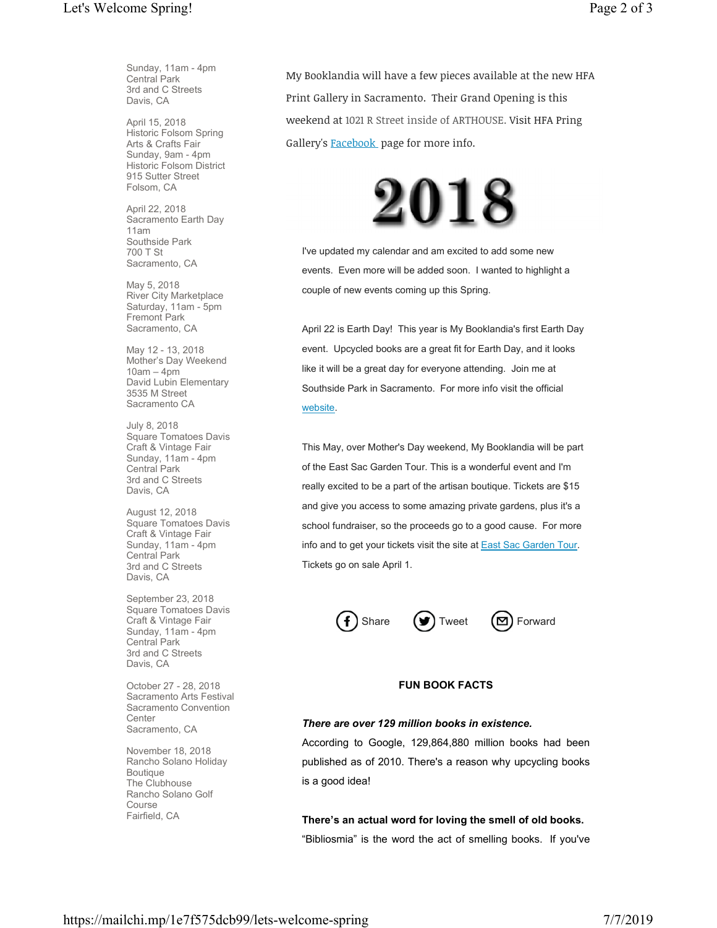Sunday, 11am - 4pm Central Park 3rd and C Streets Davis, CA

April 15, 2018 Historic Folsom Spring Arts & Crafts Fair Sunday, 9am - 4pm Historic Folsom District 915 Sutter Street Folsom, CA

April 22, 2018 Sacramento Earth Day 11am Southside Park 700 T St Sacramento, CA

May 5, 2018 River City Marketplace Saturday, 11am - 5pm Fremont Park Sacramento, CA

May 12 - 13, 2018 Mother's Day Weekend 10am – 4pm David Lubin Elementary 3535 M Street Sacramento CA

July 8, 2018 Square Tomatoes Davis Craft & Vintage Fair Sunday, 11am - 4pm Central Park 3rd and C Streets Davis, CA

August 12, 2018 Square Tomatoes Davis Craft & Vintage Fair Sunday, 11am - 4pm Central Park 3rd and C Streets Davis, CA

September 23, 2018 Square Tomatoes Davis Craft & Vintage Fair Sunday, 11am - 4pm Central Park 3rd and C Streets Davis, CA

October 27 - 28, 2018 Sacramento Arts Festival Sacramento Convention **Center** Sacramento, CA

November 18, 2018 Rancho Solano Holiday Boutique The Clubhouse Rancho Solano Golf Course Fairfield, CA

My Booklandia will have a few pieces available at the new HFA Print Gallery in Sacramento. Their Grand Opening is this weekend at 1021 R Street inside of ARTHOUSE. Visit HFA Pring Gallery's **Facebook** page for more info.



I've updated my calendar and am excited to add some new events. Even more will be added soon. I wanted to highlight a couple of new events coming up this Spring.

April 22 is Earth Day! This year is My Booklandia's first Earth Day event. Upcycled books are a great fit for Earth Day, and it looks like it will be a great day for everyone attending. Join me at Southside Park in Sacramento. For more info visit the official website.

This May, over Mother's Day weekend, My Booklandia will be part of the East Sac Garden Tour. This is a wonderful event and I'm really excited to be a part of the artisan boutique. Tickets are \$15 and give you access to some amazing private gardens, plus it's a school fundraiser, so the proceeds go to a good cause. For more info and to get your tickets visit the site at East Sac Garden Tour. Tickets go on sale April 1.



### **FUN BOOK FACTS**

#### *There are over 129 million books in existence.*

According to Google, 129,864,880 million books had been published as of 2010. There's a reason why upcycling books is a good idea!

**There's an actual word for loving the smell of old books.** "Bibliosmia" is the word the act of smelling books. If you've